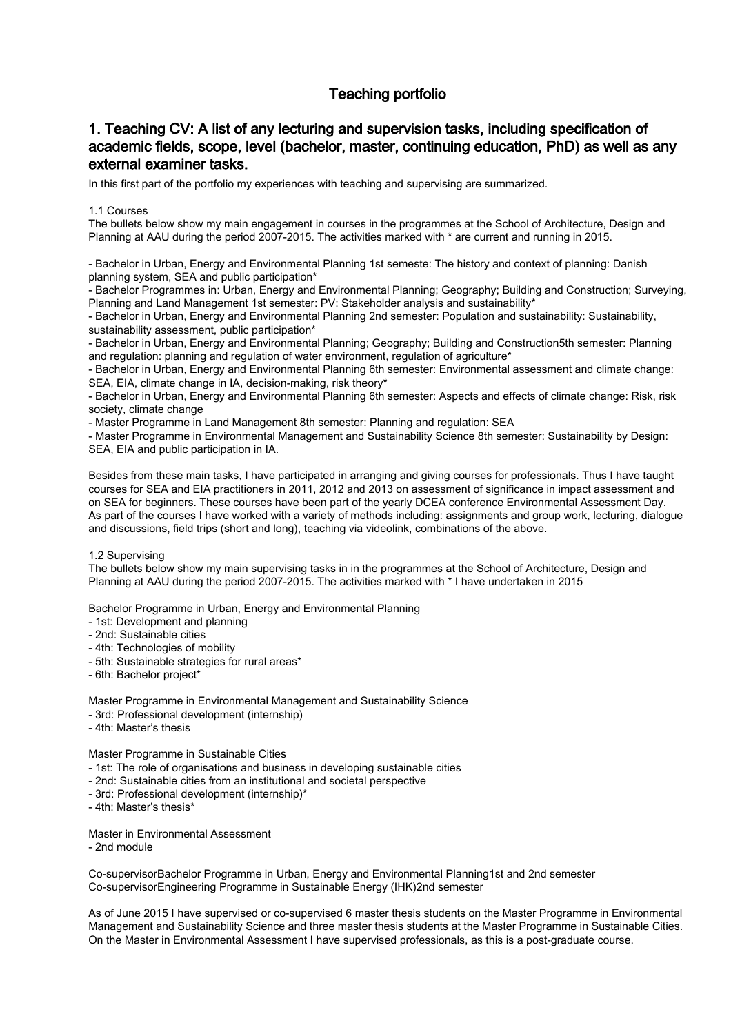# Teaching portfolio

### 1. Teaching CV: A list of any lecturing and supervision tasks, including specification of academic fields, scope, level (bachelor, master, continuing education, PhD) as well as any external examiner tasks.

In this first part of the portfolio my experiences with teaching and supervising are summarized.

#### 1.1 Courses

The bullets below show my main engagement in courses in the programmes at the School of Architecture, Design and Planning at AAU during the period 2007-2015. The activities marked with \* are current and running in 2015.

- Bachelor in Urban, Energy and Environmental Planning 1st semeste: The history and context of planning: Danish planning system, SEA and public participation\*

- Bachelor Programmes in: Urban, Energy and Environmental Planning; Geography; Building and Construction; Surveying, Planning and Land Management 1st semester: PV: Stakeholder analysis and sustainability\*

- Bachelor in Urban, Energy and Environmental Planning 2nd semester: Population and sustainability: Sustainability, sustainability assessment, public participation\*

- Bachelor in Urban, Energy and Environmental Planning; Geography; Building and Construction5th semester: Planning and regulation: planning and regulation of water environment, regulation of agriculture\*

- Bachelor in Urban, Energy and Environmental Planning 6th semester: Environmental assessment and climate change: SEA, EIA, climate change in IA, decision-making, risk theory\*

- Bachelor in Urban, Energy and Environmental Planning 6th semester: Aspects and effects of climate change: Risk, risk society, climate change

- Master Programme in Land Management 8th semester: Planning and regulation: SEA

- Master Programme in Environmental Management and Sustainability Science 8th semester: Sustainability by Design: SEA, EIA and public participation in IA.

Besides from these main tasks, I have participated in arranging and giving courses for professionals. Thus I have taught courses for SEA and EIA practitioners in 2011, 2012 and 2013 on assessment of significance in impact assessment and on SEA for beginners. These courses have been part of the yearly DCEA conference Environmental Assessment Day. As part of the courses I have worked with a variety of methods including: assignments and group work, lecturing, dialogue and discussions, field trips (short and long), teaching via videolink, combinations of the above.

#### 1.2 Supervising

The bullets below show my main supervising tasks in in the programmes at the School of Architecture, Design and Planning at AAU during the period 2007-2015. The activities marked with \* I have undertaken in 2015

Bachelor Programme in Urban, Energy and Environmental Planning

- 1st: Development and planning
- 2nd: Sustainable cities
- 4th: Technologies of mobility
- 5th: Sustainable strategies for rural areas\*
- 6th: Bachelor project\*

Master Programme in Environmental Management and Sustainability Science

- 3rd: Professional development (internship)
- 4th: Master's thesis

Master Programme in Sustainable Cities

- 1st: The role of organisations and business in developing sustainable cities
- 2nd: Sustainable cities from an institutional and societal perspective
- 3rd: Professional development (internship)\*
- 4th: Master's thesis\*

Master in Environmental Assessment

- 2nd module

Co-supervisorBachelor Programme in Urban, Energy and Environmental Planning1st and 2nd semester Co-supervisorEngineering Programme in Sustainable Energy (IHK)2nd semester

As of June 2015 I have supervised or co-supervised 6 master thesis students on the Master Programme in Environmental Management and Sustainability Science and three master thesis students at the Master Programme in Sustainable Cities. On the Master in Environmental Assessment I have supervised professionals, as this is a post-graduate course.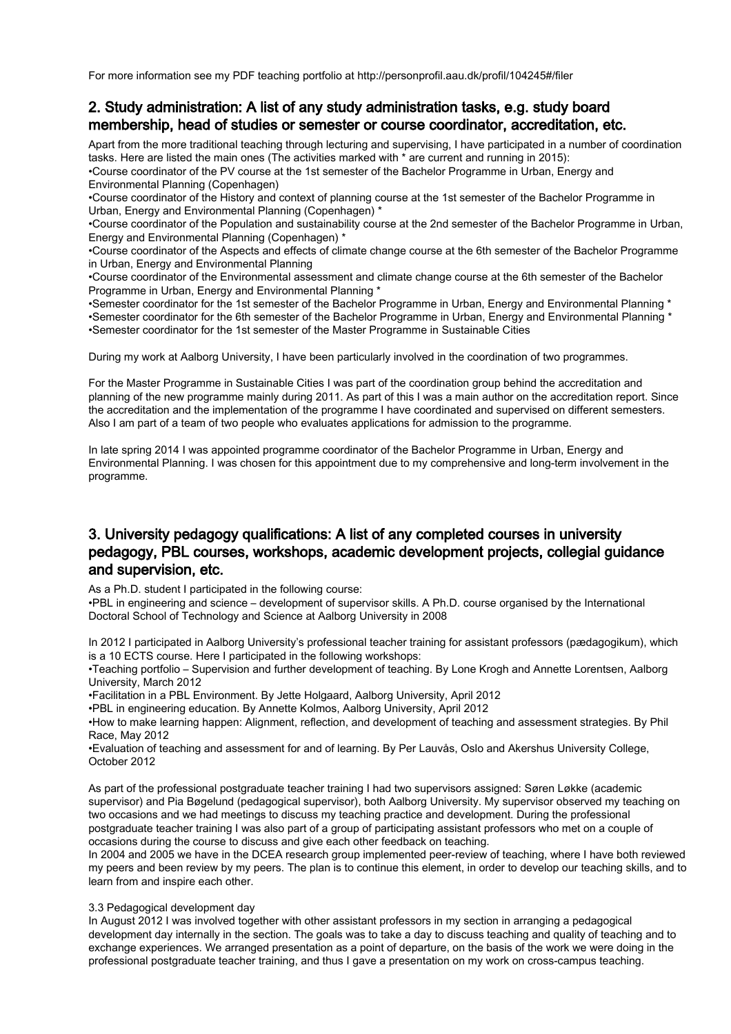For more information see my PDF teaching portfolio at http://personprofil.aau.dk/profil/104245#/filer

### 2. Study administration: A list of any study administration tasks, e.g. study board membership, head of studies or semester or course coordinator, accreditation, etc.

Apart from the more traditional teaching through lecturing and supervising, I have participated in a number of coordination tasks. Here are listed the main ones (The activities marked with \* are current and running in 2015):

•Course coordinator of the PV course at the 1st semester of the Bachelor Programme in Urban, Energy and Environmental Planning (Copenhagen)

•Course coordinator of the History and context of planning course at the 1st semester of the Bachelor Programme in Urban, Energy and Environmental Planning (Copenhagen) \*

•Course coordinator of the Population and sustainability course at the 2nd semester of the Bachelor Programme in Urban, Energy and Environmental Planning (Copenhagen) \*

•Course coordinator of the Aspects and effects of climate change course at the 6th semester of the Bachelor Programme in Urban, Energy and Environmental Planning

•Course coordinator of the Environmental assessment and climate change course at the 6th semester of the Bachelor Programme in Urban, Energy and Environmental Planning \*

•Semester coordinator for the 1st semester of the Bachelor Programme in Urban, Energy and Environmental Planning \* •Semester coordinator for the 6th semester of the Bachelor Programme in Urban, Energy and Environmental Planning \* •Semester coordinator for the 1st semester of the Master Programme in Sustainable Cities

During my work at Aalborg University, I have been particularly involved in the coordination of two programmes.

For the Master Programme in Sustainable Cities I was part of the coordination group behind the accreditation and planning of the new programme mainly during 2011. As part of this I was a main author on the accreditation report. Since the accreditation and the implementation of the programme I have coordinated and supervised on different semesters. Also I am part of a team of two people who evaluates applications for admission to the programme.

In late spring 2014 I was appointed programme coordinator of the Bachelor Programme in Urban, Energy and Environmental Planning. I was chosen for this appointment due to my comprehensive and long-term involvement in the programme.

### 3. University pedagogy qualifications: A list of any completed courses in university pedagogy, PBL courses, workshops, academic development projects, collegial guidance and supervision, etc.

As a Ph.D. student I participated in the following course:

•PBL in engineering and science – development of supervisor skills. A Ph.D. course organised by the International Doctoral School of Technology and Science at Aalborg University in 2008

In 2012 I participated in Aalborg University's professional teacher training for assistant professors (pædagogikum), which is a 10 ECTS course. Here I participated in the following workshops:

•Teaching portfolio – Supervision and further development of teaching. By Lone Krogh and Annette Lorentsen, Aalborg University, March 2012

•Facilitation in a PBL Environment. By Jette Holgaard, Aalborg University, April 2012

•PBL in engineering education. By Annette Kolmos, Aalborg University, April 2012

•How to make learning happen: Alignment, reflection, and development of teaching and assessment strategies. By Phil Race, May 2012

•Evaluation of teaching and assessment for and of learning. By Per Lauvås, Oslo and Akershus University College, October 2012

As part of the professional postgraduate teacher training I had two supervisors assigned: Søren Løkke (academic supervisor) and Pia Bøgelund (pedagogical supervisor), both Aalborg University. My supervisor observed my teaching on two occasions and we had meetings to discuss my teaching practice and development. During the professional postgraduate teacher training I was also part of a group of participating assistant professors who met on a couple of occasions during the course to discuss and give each other feedback on teaching.

In 2004 and 2005 we have in the DCEA research group implemented peer-review of teaching, where I have both reviewed my peers and been review by my peers. The plan is to continue this element, in order to develop our teaching skills, and to learn from and inspire each other.

#### 3.3 Pedagogical development day

In August 2012 I was involved together with other assistant professors in my section in arranging a pedagogical development day internally in the section. The goals was to take a day to discuss teaching and quality of teaching and to exchange experiences. We arranged presentation as a point of departure, on the basis of the work we were doing in the professional postgraduate teacher training, and thus I gave a presentation on my work on cross-campus teaching.